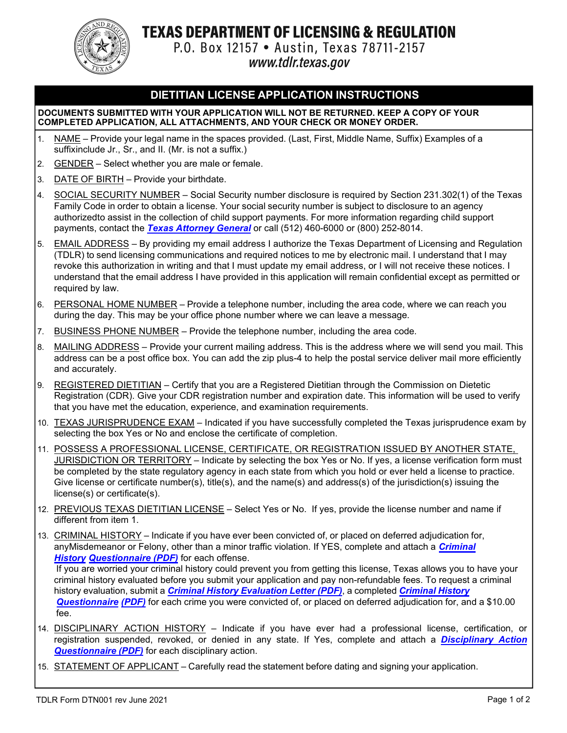

Texas department of licensing & regulation

P.O. Box 12157 . Austin, Texas 78711-2157 www.tdlr.texas.gov

# **DIETITIAN LICENSE APPLICATION INSTRUCTIONS**

#### **DOCUMENTS SUBMITTED WITH YOUR APPLICATION WILL NOT BE RETURNED. KEEP A COPY OF YOUR COMPLETED APPLICATION, ALL ATTACHMENTS, AND YOUR CHECK OR MONEY ORDER.**

- 1. NAME Provide your legal name in the spaces provided. (Last, First, Middle Name, Suffix) Examples of a suffixinclude Jr., Sr., and II. (Mr. is not a suffix.)
- 2. GENDER Select whether you are male or female.
- 3. DATE OF BIRTH Provide your birthdate.
- 4. SOCIAL SECURITY NUMBER Social Security number disclosure is required by Section 231.302(1) of the Texas Family Code in order to obtain a license. Your social security number is subject to disclosure to an agency authorizedto assist in the collection of child support payments. For more information regarding child support payments, contact the *[Texas Attorney](https://www.texasattorneygeneral.gov/child-support) General* or call (512) 460-6000 or (800) 252-8014.
- 5. EMAIL ADDRESS By providing my email address I authorize the Texas Department of Licensing and Regulation (TDLR) to send licensing communications and required notices to me by electronic mail. I understand that I may revoke this authorization in writing and that I must update my email address, or I will not receive these notices. I understand that the email address I have provided in this application will remain confidential except as permitted or required by law.
- 6. PERSONAL HOME NUMBER Provide a telephone number, including the area code, where we can reach you during the day. This may be your office phone number where we can leave a message.
- 7. BUSINESS PHONE NUMBER Provide the telephone number, including the area code.
- 8. MAILING ADDRESS Provide your current mailing address. This is the address where we will send you mail. This address can be a post office box. You can add the zip plus-4 to help the postal service deliver mail more efficiently and accurately.
- 9. REGISTERED DIETITIAN Certify that you are a Registered Dietitian through the Commission on Dietetic Registration (CDR). Give your CDR registration number and expiration date. This information will be used to verify that you have met the education, experience, and examination requirements.
- 10. TEXAS JURISPRUDENCE EXAM Indicated if you have successfully completed the Texas jurisprudence exam by selecting the box Yes or No and enclose the certificate of completion.
- 11. POSSESS A PROFESSIONAL LICENSE, CERTIFICATE, OR REGISTRATION ISSUED BY ANOTHER STATE, JURISDICTION OR TERRITORY – Indicate by selecting the box Yes or No. If yes, a license verification form must be completed by the state regulatory agency in each state from which you hold or ever held a license to practice. Give license or certificate number(s), title(s), and the name(s) and address(s) of the jurisdiction(s) issuing the license(s) or certificate(s).
- 12. PREVIOUS TEXAS DIETITIAN LICENSE Select Yes or No. If yes, provide the license number and name if different from item 1.
- 13. CRIMINAL HISTORY Indicate if you have ever been convicted of, or placed on deferred adjudication for, an[yMisdemeanor or Felony, other than a](https://www.tdlr.texas.gov/MISC/lic002.pdf) minor traffic violation. If YES, complete and attach a *Criminal History [Questionnaire \(PDF\)](https://www.tdlr.texas.gov/MISC/lic002.pdf)* for each offense.

If you are worried your criminal history could prevent you from getting this license, Texas allows you to have your criminal history evaluated before you submit your application and pay non-refundable fees. To request a criminal history evaluation, submit a *Criminal History [Evaluation](https://www.tdlr.texas.gov/crimHistoryEval.htm) Letter (PDF)*, [a completed](https://www.tdlr.texas.gov/MISC/lic002.pdf) *Criminal History [Questionnaire](https://www.tdlr.texas.gov/MISC/lic002.pdf) (PDF)* for each crime you were convicted of, or placed on deferred adjudication for, and a \$10.00 [fee.](https://www.tdlr.texas.gov/MISC/lic002.pdf)

- 14. DISCIPLINARY ACTION HISTORY Indicate if you have ever had a professional license, certification, or registration suspended, revoked, or denied in any state. If Yes, complete and attach a *[Disciplinary](https://www.tdlr.texas.gov/misc/Disciplinary%20Action%20Questionnaire.pdf) Action [Questionnaire](https://www.tdlr.texas.gov/misc/Disciplinary%20Action%20Questionnaire.pdf) (PDF)* for each disciplinary action.
- 15. STATEMENT OF APPLICANT Carefully read the statement before dating and signing your application.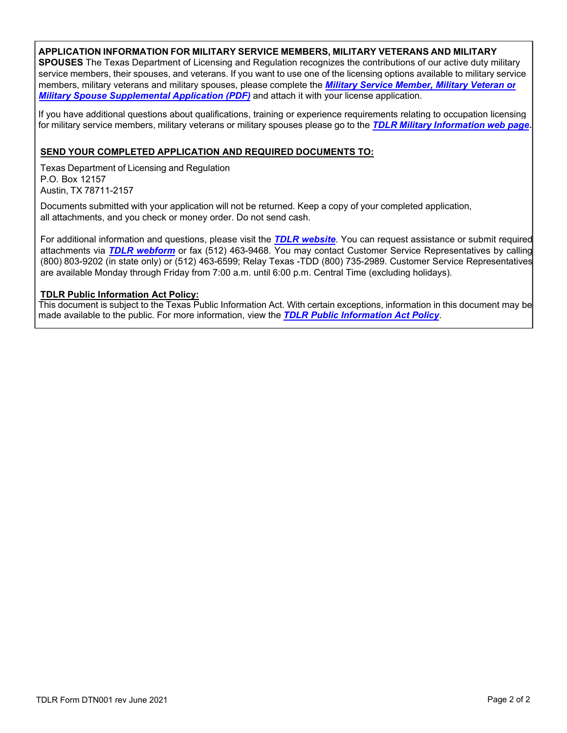### **APPLICATION [INFORMATION](https://www.tdlr.texas.gov/misc/militarysupplemental.pdf) FOR MILITARY SERVICE MEMBERS, MILITARY VETERANS AND MILITARY**

**SPOUSES** The Texas Department of [Licensing and Regulation recognizes the contributions of](https://www.tdlr.texas.gov/misc/militarysupplemental.pdf) our active duty military service members, their spouses, and veterans. If you want to use one of the licensing options available to military service members, military veterans and military spouses, please complete the *[Military Ser](https://www.tdlr.texas.gov/misc/militarysupplemental.pdf)[vice Member, Military Veteran](https://www.tdlr.texas.gov/military/) or [Milita](https://www.tdlr.texas.gov/military/)ry Spouse Supplemental Application (PDF)* and attach it with your license application.

If you have additional questions about qualifications, training or experience requirements relating to occupation licensing for military service members, military veterans or military spouses please go to the *TDLR Military [Information](https://www.tdlr.texas.gov/military/) web page.* 

## **SEND YOUR COMPLETED APPLICATION AND REQUIRED DOCUMENTS TO:**

Texas Department of Licensing and Regulation P.O. Box 12157 Austin, TX 78711-2157

Documents submitted with your application will not be returned. Keep a copy of your completed application, all attachments, and you check or money order. Do not send cash.

For additional information and questions, please visit the *TDLR [website](https://www.tdlr.texas.gov/)*. You can request assistance or submit required attachments via *[TDLR webform](https://www.tdlr.texas.gov/help/)* or fax (512) 463-9468. You may contact Customer Service Representatives by calling (800) 803-9202 (in state only) or (512) 463-6599; Relay Texas -TDD (800) 735-2989. Customer Service Representatives are available Monday through Friday from 7:00 a.m. until 6:00 p.m. Central Time (excluding holidays).

#### **TDLR Public Information Act Policy:**

This document is subject to the Texas Public Information Act. With certain exceptions, information in this document may be made available to the public. For more information, view the *TDLR Public [Information](https://www.tdlr.texas.gov/disclaimer.htm#PublicInfoPolicy) Act Policy*.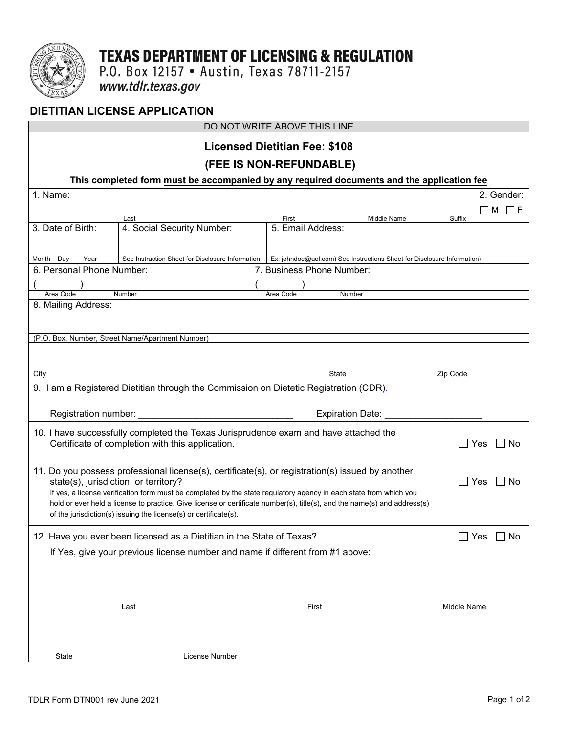

# **TEXAS DEPARTMENT OF LICENSING & REGULATION**

P.O. Box 12157 • Austin, Texas 78711-2157<br>www.tdlr.texas.gov

# **DIETITIAN LICENSE APPLICATION**

| DO NOT WRITE ABOVE THIS LINE                                                                                                                                  |                                                                                       |  |                                                                         |             |                      |  |
|---------------------------------------------------------------------------------------------------------------------------------------------------------------|---------------------------------------------------------------------------------------|--|-------------------------------------------------------------------------|-------------|----------------------|--|
|                                                                                                                                                               |                                                                                       |  | <b>Licensed Dietitian Fee: \$108</b>                                    |             |                      |  |
| (FEE IS NON-REFUNDABLE)                                                                                                                                       |                                                                                       |  |                                                                         |             |                      |  |
| This completed form must be accompanied by any required documents and the application fee                                                                     |                                                                                       |  |                                                                         |             |                      |  |
| 1. Name:<br>2. Gender:                                                                                                                                        |                                                                                       |  |                                                                         |             |                      |  |
|                                                                                                                                                               |                                                                                       |  |                                                                         |             | $\Box$ M<br>-IF      |  |
| 3. Date of Birth:                                                                                                                                             | Last<br>4. Social Security Number:                                                    |  | Middle Name<br>First<br>5. Email Address:                               | Suffix      |                      |  |
|                                                                                                                                                               |                                                                                       |  |                                                                         |             |                      |  |
| Month Day<br>Year                                                                                                                                             | See Instruction Sheet for Disclosure Information                                      |  | Ex: johndoe@aol.com) See Instructions Sheet for Disclosure Information) |             |                      |  |
| 6. Personal Phone Number:                                                                                                                                     |                                                                                       |  | 7. Business Phone Number:                                               |             |                      |  |
|                                                                                                                                                               |                                                                                       |  |                                                                         |             |                      |  |
| Number<br>Area Code                                                                                                                                           |                                                                                       |  | Number<br>Area Code                                                     |             |                      |  |
| 8. Mailing Address:                                                                                                                                           |                                                                                       |  |                                                                         |             |                      |  |
|                                                                                                                                                               |                                                                                       |  |                                                                         |             |                      |  |
|                                                                                                                                                               | (P.O. Box, Number, Street Name/Apartment Number)                                      |  |                                                                         |             |                      |  |
|                                                                                                                                                               |                                                                                       |  |                                                                         |             |                      |  |
|                                                                                                                                                               |                                                                                       |  |                                                                         |             |                      |  |
| City                                                                                                                                                          |                                                                                       |  | State                                                                   | Zip Code    |                      |  |
|                                                                                                                                                               | 9. I am a Registered Dietitian through the Commission on Dietetic Registration (CDR). |  |                                                                         |             |                      |  |
|                                                                                                                                                               |                                                                                       |  |                                                                         |             |                      |  |
| Registration number:                                                                                                                                          |                                                                                       |  | <b>Expiration Date:</b>                                                 |             |                      |  |
|                                                                                                                                                               |                                                                                       |  |                                                                         |             |                      |  |
| 10. I have successfully completed the Texas Jurisprudence exam and have attached the<br>Certificate of completion with this application.<br>Yes<br>No         |                                                                                       |  |                                                                         |             |                      |  |
|                                                                                                                                                               |                                                                                       |  |                                                                         |             |                      |  |
|                                                                                                                                                               |                                                                                       |  |                                                                         |             |                      |  |
| 11. Do you possess professional license(s), certificate(s), or registration(s) issued by another<br>state(s), jurisdiction, or territory?<br>Yes<br><b>No</b> |                                                                                       |  |                                                                         |             |                      |  |
| If yes, a license verification form must be completed by the state regulatory agency in each state from which you                                             |                                                                                       |  |                                                                         |             |                      |  |
| hold or ever held a license to practice. Give license or certificate number(s), title(s), and the name(s) and address(s)                                      |                                                                                       |  |                                                                         |             |                      |  |
|                                                                                                                                                               | of the jurisdiction(s) issuing the license(s) or certificate(s).                      |  |                                                                         |             |                      |  |
| 12. Have you ever been licensed as a Dietitian in the State of Texas?                                                                                         |                                                                                       |  |                                                                         |             | $\Box$ Yes $\Box$ No |  |
| If Yes, give your previous license number and name if different from #1 above:                                                                                |                                                                                       |  |                                                                         |             |                      |  |
|                                                                                                                                                               |                                                                                       |  |                                                                         |             |                      |  |
|                                                                                                                                                               |                                                                                       |  |                                                                         |             |                      |  |
|                                                                                                                                                               |                                                                                       |  |                                                                         |             |                      |  |
|                                                                                                                                                               |                                                                                       |  |                                                                         |             |                      |  |
| Last                                                                                                                                                          |                                                                                       |  | First                                                                   | Middle Name |                      |  |
|                                                                                                                                                               |                                                                                       |  |                                                                         |             |                      |  |
|                                                                                                                                                               |                                                                                       |  |                                                                         |             |                      |  |
| State                                                                                                                                                         | License Number                                                                        |  |                                                                         |             |                      |  |